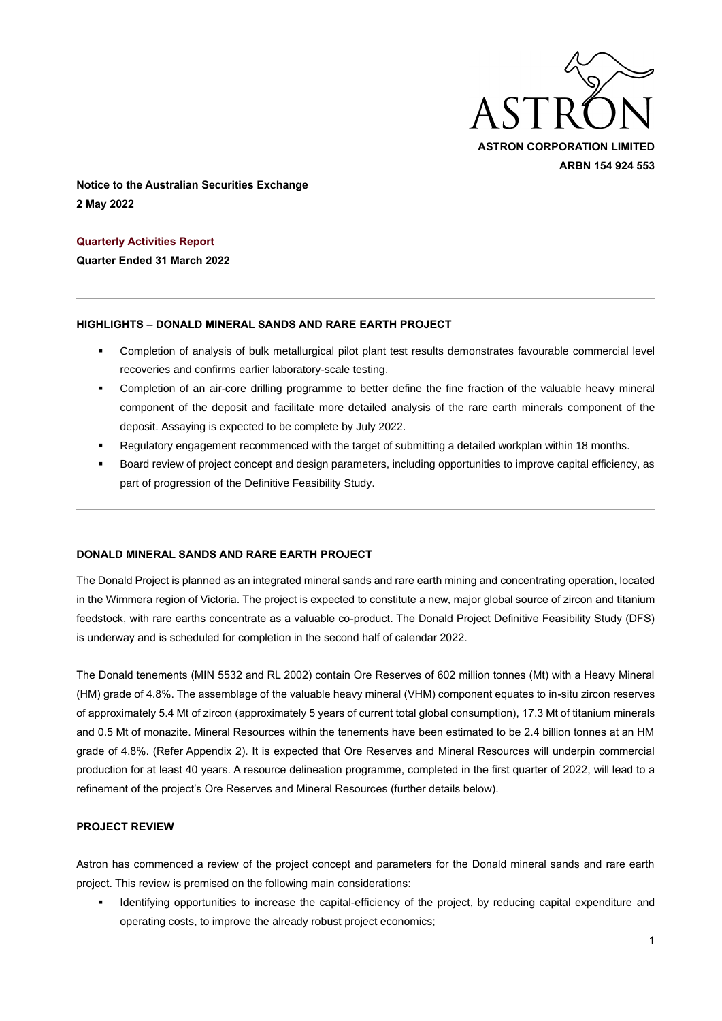

**Notice to the Australian Securities Exchange 2 May 2022**

**Quarterly Activities Report** 

**Quarter Ended 31 March 2022**

#### **HIGHLIGHTS – DONALD MINERAL SANDS AND RARE EARTH PROJECT**

- Completion of analysis of bulk metallurgical pilot plant test results demonstrates favourable commercial level recoveries and confirms earlier laboratory-scale testing.
- Completion of an air-core drilling programme to better define the fine fraction of the valuable heavy mineral component of the deposit and facilitate more detailed analysis of the rare earth minerals component of the deposit. Assaying is expected to be complete by July 2022.
- Regulatory engagement recommenced with the target of submitting a detailed workplan within 18 months.
- Board review of project concept and design parameters, including opportunities to improve capital efficiency, as part of progression of the Definitive Feasibility Study.

## **DONALD MINERAL SANDS AND RARE EARTH PROJECT**

The Donald Project is planned as an integrated mineral sands and rare earth mining and concentrating operation, located in the Wimmera region of Victoria. The project is expected to constitute a new, major global source of zircon and titanium feedstock, with rare earths concentrate as a valuable co-product. The Donald Project Definitive Feasibility Study (DFS) is underway and is scheduled for completion in the second half of calendar 2022.

The Donald tenements (MIN 5532 and RL 2002) contain Ore Reserves of 602 million tonnes (Mt) with a Heavy Mineral (HM) grade of 4.8%. The assemblage of the valuable heavy mineral (VHM) component equates to in-situ zircon reserves of approximately 5.4 Mt of zircon (approximately 5 years of current total global consumption), 17.3 Mt of titanium minerals and 0.5 Mt of monazite. Mineral Resources within the tenements have been estimated to be 2.4 billion tonnes at an HM grade of 4.8%. (Refer Appendix 2). It is expected that Ore Reserves and Mineral Resources will underpin commercial production for at least 40 years. A resource delineation programme, completed in the first quarter of 2022, will lead to a refinement of the project's Ore Reserves and Mineral Resources (further details below).

## **PROJECT REVIEW**

Astron has commenced a review of the project concept and parameters for the Donald mineral sands and rare earth project. This review is premised on the following main considerations:

▪ Identifying opportunities to increase the capital-efficiency of the project, by reducing capital expenditure and operating costs, to improve the already robust project economics;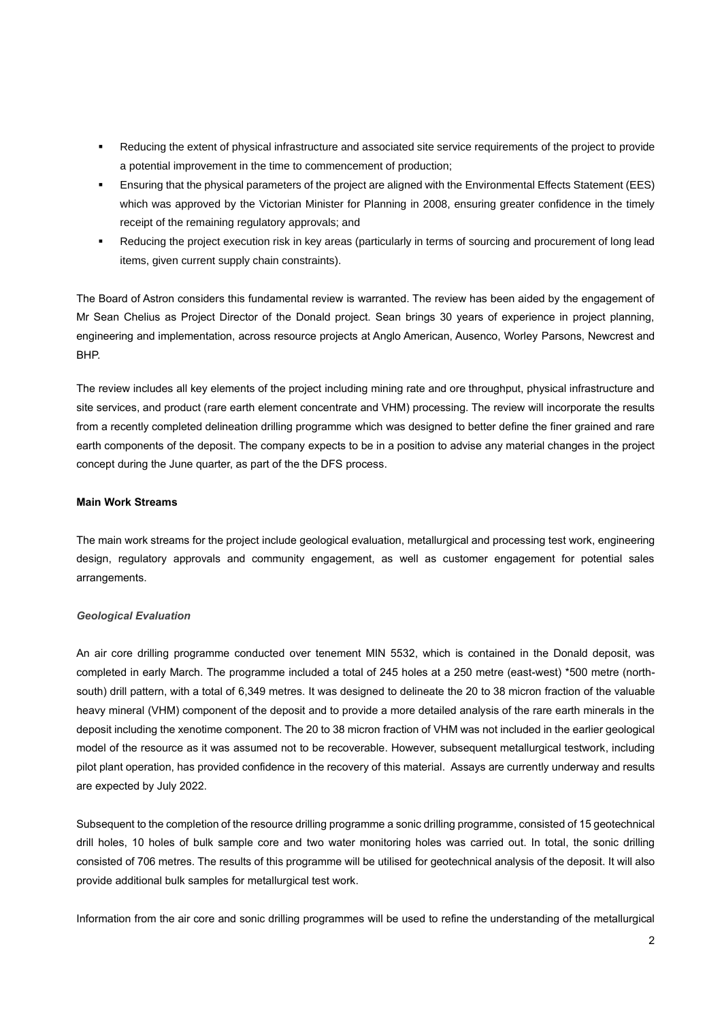- Reducing the extent of physical infrastructure and associated site service requirements of the project to provide a potential improvement in the time to commencement of production;
- Ensuring that the physical parameters of the project are aligned with the Environmental Effects Statement (EES) which was approved by the Victorian Minister for Planning in 2008, ensuring greater confidence in the timely receipt of the remaining regulatory approvals; and
- Reducing the project execution risk in key areas (particularly in terms of sourcing and procurement of long lead items, given current supply chain constraints).

The Board of Astron considers this fundamental review is warranted. The review has been aided by the engagement of Mr Sean Chelius as Project Director of the Donald project. Sean brings 30 years of experience in project planning, engineering and implementation, across resource projects at Anglo American, Ausenco, Worley Parsons, Newcrest and BHP.

The review includes all key elements of the project including mining rate and ore throughput, physical infrastructure and site services, and product (rare earth element concentrate and VHM) processing. The review will incorporate the results from a recently completed delineation drilling programme which was designed to better define the finer grained and rare earth components of the deposit. The company expects to be in a position to advise any material changes in the project concept during the June quarter, as part of the the DFS process.

#### **Main Work Streams**

The main work streams for the project include geological evaluation, metallurgical and processing test work, engineering design, regulatory approvals and community engagement, as well as customer engagement for potential sales arrangements.

#### *Geological Evaluation*

An air core drilling programme conducted over tenement MIN 5532, which is contained in the Donald deposit, was completed in early March. The programme included a total of 245 holes at a 250 metre (east-west) \*500 metre (northsouth) drill pattern, with a total of 6,349 metres. It was designed to delineate the 20 to 38 micron fraction of the valuable heavy mineral (VHM) component of the deposit and to provide a more detailed analysis of the rare earth minerals in the deposit including the xenotime component. The 20 to 38 micron fraction of VHM was not included in the earlier geological model of the resource as it was assumed not to be recoverable. However, subsequent metallurgical testwork, including pilot plant operation, has provided confidence in the recovery of this material. Assays are currently underway and results are expected by July 2022.

Subsequent to the completion of the resource drilling programme a sonic drilling programme, consisted of 15 geotechnical drill holes, 10 holes of bulk sample core and two water monitoring holes was carried out. In total, the sonic drilling consisted of 706 metres. The results of this programme will be utilised for geotechnical analysis of the deposit. It will also provide additional bulk samples for metallurgical test work.

Information from the air core and sonic drilling programmes will be used to refine the understanding of the metallurgical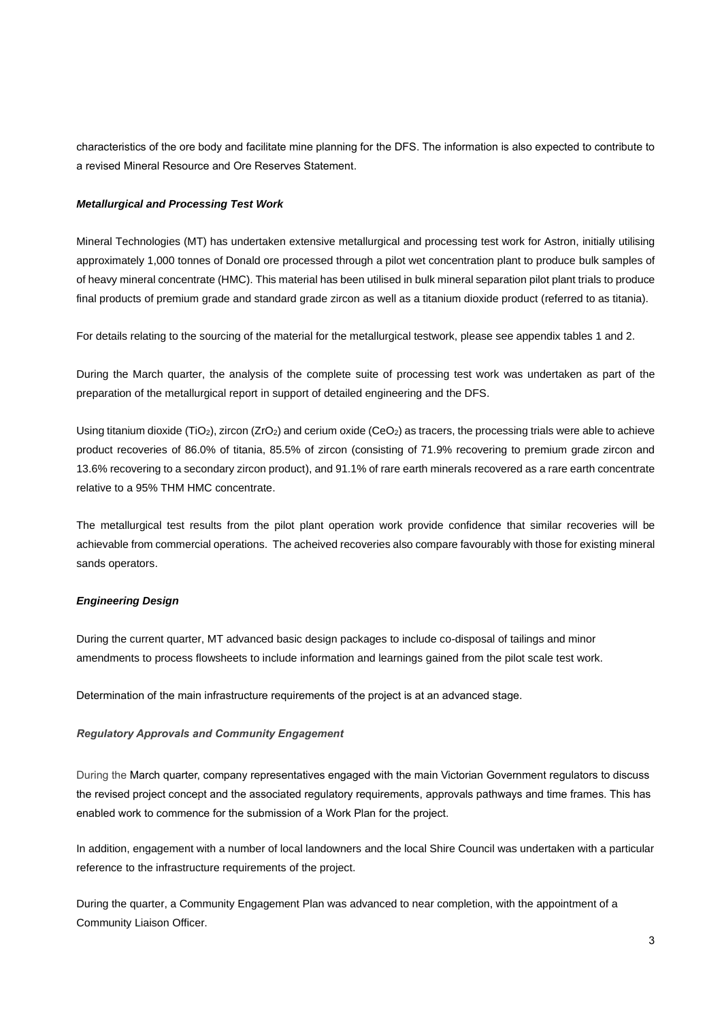characteristics of the ore body and facilitate mine planning for the DFS. The information is also expected to contribute to a revised Mineral Resource and Ore Reserves Statement.

#### *Metallurgical and Processing Test Work*

Mineral Technologies (MT) has undertaken extensive metallurgical and processing test work for Astron, initially utilising approximately 1,000 tonnes of Donald ore processed through a pilot wet concentration plant to produce bulk samples of of heavy mineral concentrate (HMC). This material has been utilised in bulk mineral separation pilot plant trials to produce final products of premium grade and standard grade zircon as well as a titanium dioxide product (referred to as titania).

For details relating to the sourcing of the material for the metallurgical testwork, please see appendix tables 1 and 2.

During the March quarter, the analysis of the complete suite of processing test work was undertaken as part of the preparation of the metallurgical report in support of detailed engineering and the DFS.

Using titanium dioxide (TiO<sub>2</sub>), zircon (ZrO<sub>2</sub>) and cerium oxide (CeO<sub>2</sub>) as tracers, the processing trials were able to achieve product recoveries of 86.0% of titania, 85.5% of zircon (consisting of 71.9% recovering to premium grade zircon and 13.6% recovering to a secondary zircon product), and 91.1% of rare earth minerals recovered as a rare earth concentrate relative to a 95% THM HMC concentrate.

The metallurgical test results from the pilot plant operation work provide confidence that similar recoveries will be achievable from commercial operations. The acheived recoveries also compare favourably with those for existing mineral sands operators.

## *Engineering Design*

During the current quarter, MT advanced basic design packages to include co-disposal of tailings and minor amendments to process flowsheets to include information and learnings gained from the pilot scale test work.

Determination of the main infrastructure requirements of the project is at an advanced stage.

## *Regulatory Approvals and Community Engagement*

During the March quarter, company representatives engaged with the main Victorian Government regulators to discuss the revised project concept and the associated regulatory requirements, approvals pathways and time frames. This has enabled work to commence for the submission of a Work Plan for the project.

In addition, engagement with a number of local landowners and the local Shire Council was undertaken with a particular reference to the infrastructure requirements of the project.

During the quarter, a Community Engagement Plan was advanced to near completion, with the appointment of a Community Liaison Officer.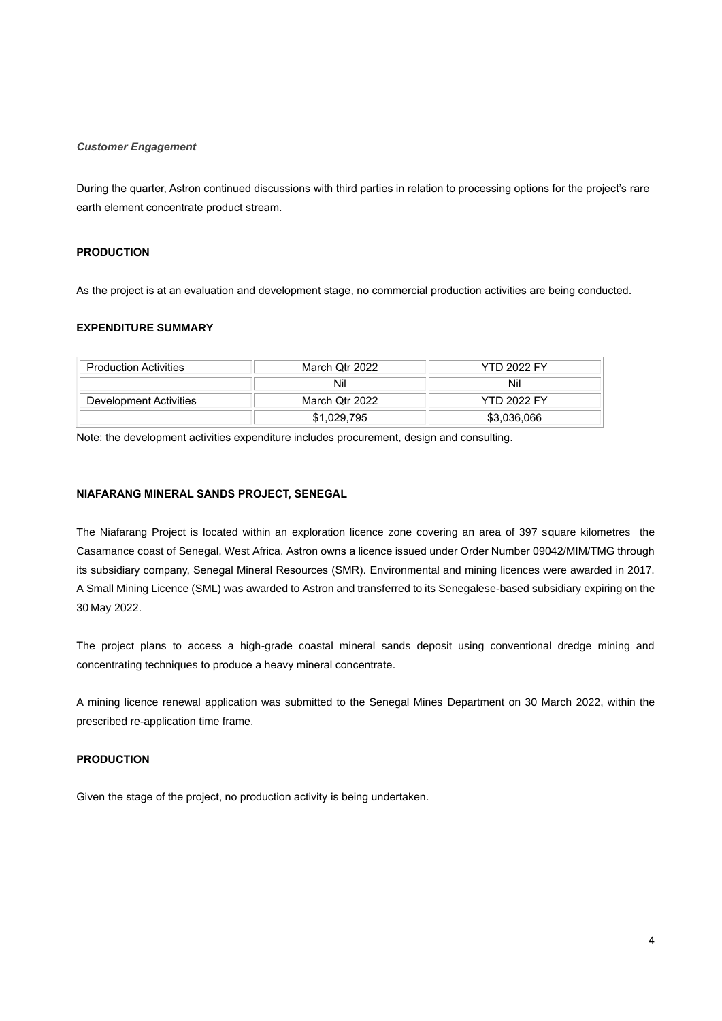#### *Customer Engagement*

During the quarter, Astron continued discussions with third parties in relation to processing options for the project's rare earth element concentrate product stream.

#### **PRODUCTION**

As the project is at an evaluation and development stage, no commercial production activities are being conducted.

## **EXPENDITURE SUMMARY**

| <b>Production Activities</b> | March Qtr 2022 | <b>YTD 2022 FY</b> |
|------------------------------|----------------|--------------------|
|                              | Nil            | Nil                |
| Development Activities       | March Otr 2022 | <b>YTD 2022 FY</b> |
|                              | \$1.029.795    | \$3.036.066        |

Note: the development activities expenditure includes procurement, design and consulting.

#### **NIAFARANG MINERAL SANDS PROJECT, SENEGAL**

The Niafarang Project is located within an exploration licence zone covering an area of 397 square kilometres the Casamance coast of Senegal, West Africa. Astron owns a licence issued under Order Number 09042/MIM/TMG through its subsidiary company, Senegal Mineral Resources (SMR). Environmental and mining licences were awarded in 2017. A Small Mining Licence (SML) was awarded to Astron and transferred to its Senegalese-based subsidiary expiring on the 30 May 2022.

The project plans to access a high-grade coastal mineral sands deposit using conventional dredge mining and concentrating techniques to produce a heavy mineral concentrate.

A mining licence renewal application was submitted to the Senegal Mines Department on 30 March 2022, within the prescribed re-application time frame.

## **PRODUCTION**

Given the stage of the project, no production activity is being undertaken.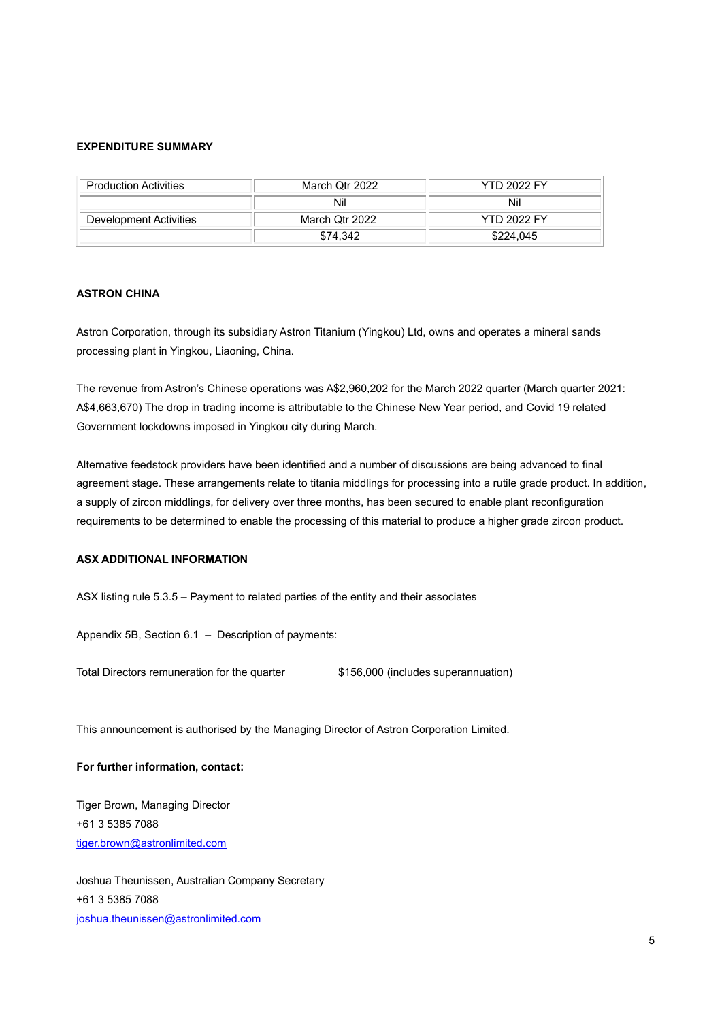## **EXPENDITURE SUMMARY**

| <b>Production Activities</b> | March Qtr 2022 | <b>YTD 2022 FY</b> |
|------------------------------|----------------|--------------------|
|                              | Nil            | Nil                |
| Development Activities       | March Otr 2022 | <b>YTD 2022 FY</b> |
|                              | \$74.342       | \$224,045          |

## **ASTRON CHINA**

Astron Corporation, through its subsidiary Astron Titanium (Yingkou) Ltd, owns and operates a mineral sands processing plant in Yingkou, Liaoning, China.

The revenue from Astron's Chinese operations was A\$2,960,202 for the March 2022 quarter (March quarter 2021: A\$4,663,670) The drop in trading income is attributable to the Chinese New Year period, and Covid 19 related Government lockdowns imposed in Yingkou city during March.

Alternative feedstock providers have been identified and a number of discussions are being advanced to final agreement stage. These arrangements relate to titania middlings for processing into a rutile grade product. In addition, a supply of zircon middlings, for delivery over three months, has been secured to enable plant reconfiguration requirements to be determined to enable the processing of this material to produce a higher grade zircon product.

#### **ASX ADDITIONAL INFORMATION**

ASX listing rule 5.3.5 – Payment to related parties of the entity and their associates

Appendix 5B, Section 6.1 – Description of payments:

Total Directors remuneration for the quarter \$156,000 (includes superannuation)

This announcement is authorised by the Managing Director of Astron Corporation Limited.

#### **For further information, contact:**

Tiger Brown, Managing Director +61 3 5385 7088 [tiger.brown@astronlimited.com](mailto:tiger.brown@astronlimited.com)

Joshua Theunissen, Australian Company Secretary +61 3 5385 7088 [joshua.theunissen@astronlimited.com](mailto:joshua.theunissen@astronlimited.com)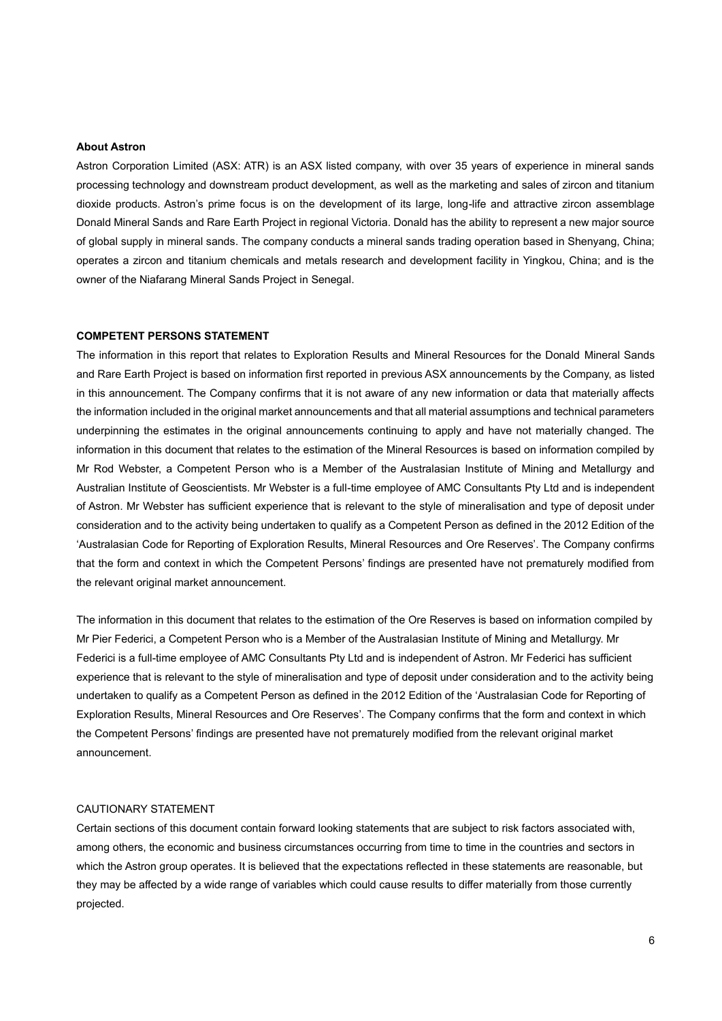#### **About Astron**

Astron Corporation Limited (ASX: ATR) is an ASX listed company, with over 35 years of experience in mineral sands processing technology and downstream product development, as well as the marketing and sales of zircon and titanium dioxide products. Astron's prime focus is on the development of its large, long-life and attractive zircon assemblage Donald Mineral Sands and Rare Earth Project in regional Victoria. Donald has the ability to represent a new major source of global supply in mineral sands. The company conducts a mineral sands trading operation based in Shenyang, China; operates a zircon and titanium chemicals and metals research and development facility in Yingkou, China; and is the owner of the Niafarang Mineral Sands Project in Senegal.

#### **COMPETENT PERSONS STATEMENT**

The information in this report that relates to Exploration Results and Mineral Resources for the Donald Mineral Sands and Rare Earth Project is based on information first reported in previous ASX announcements by the Company, as listed in this announcement. The Company confirms that it is not aware of any new information or data that materially affects the information included in the original market announcements and that all material assumptions and technical parameters underpinning the estimates in the original announcements continuing to apply and have not materially changed. The information in this document that relates to the estimation of the Mineral Resources is based on information compiled by Mr Rod Webster, a Competent Person who is a Member of the Australasian Institute of Mining and Metallurgy and Australian Institute of Geoscientists. Mr Webster is a full-time employee of AMC Consultants Pty Ltd and is independent of Astron. Mr Webster has sufficient experience that is relevant to the style of mineralisation and type of deposit under consideration and to the activity being undertaken to qualify as a Competent Person as defined in the 2012 Edition of the 'Australasian Code for Reporting of Exploration Results, Mineral Resources and Ore Reserves'. The Company confirms that the form and context in which the Competent Persons' findings are presented have not prematurely modified from the relevant original market announcement.

The information in this document that relates to the estimation of the Ore Reserves is based on information compiled by Mr Pier Federici, a Competent Person who is a Member of the Australasian Institute of Mining and Metallurgy. Mr Federici is a full-time employee of AMC Consultants Pty Ltd and is independent of Astron. Mr Federici has sufficient experience that is relevant to the style of mineralisation and type of deposit under consideration and to the activity being undertaken to qualify as a Competent Person as defined in the 2012 Edition of the 'Australasian Code for Reporting of Exploration Results, Mineral Resources and Ore Reserves'. The Company confirms that the form and context in which the Competent Persons' findings are presented have not prematurely modified from the relevant original market announcement.

#### CAUTIONARY STATEMENT

Certain sections of this document contain forward looking statements that are subject to risk factors associated with, among others, the economic and business circumstances occurring from time to time in the countries and sectors in which the Astron group operates. It is believed that the expectations reflected in these statements are reasonable, but they may be affected by a wide range of variables which could cause results to differ materially from those currently projected.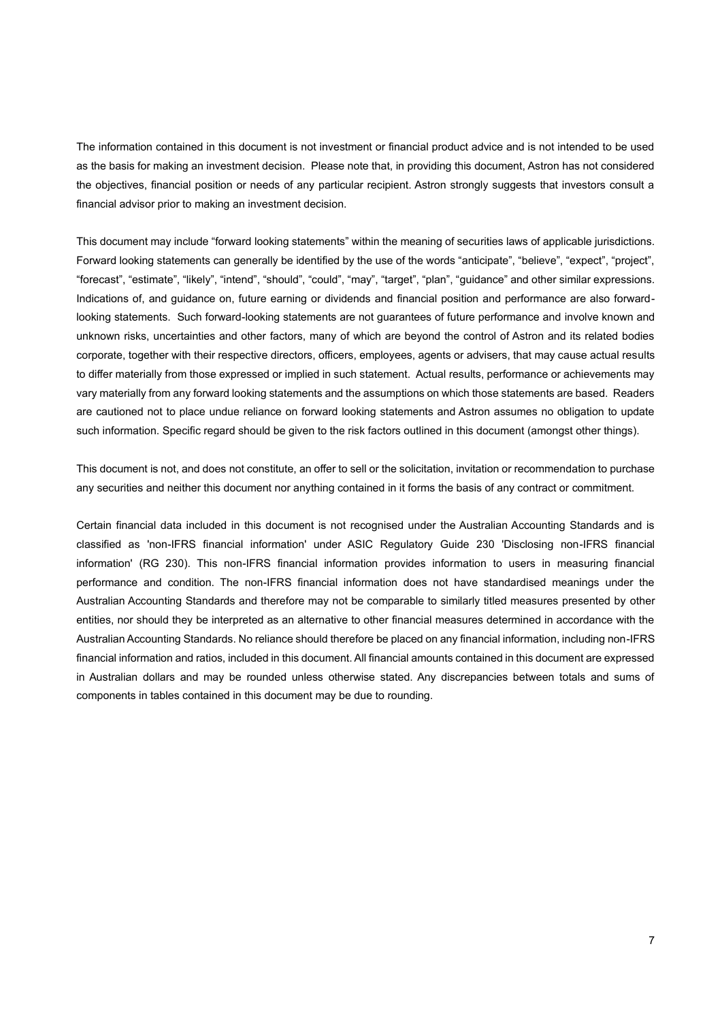The information contained in this document is not investment or financial product advice and is not intended to be used as the basis for making an investment decision. Please note that, in providing this document, Astron has not considered the objectives, financial position or needs of any particular recipient. Astron strongly suggests that investors consult a financial advisor prior to making an investment decision.

This document may include "forward looking statements" within the meaning of securities laws of applicable jurisdictions. Forward looking statements can generally be identified by the use of the words "anticipate", "believe", "expect", "project", "forecast", "estimate", "likely", "intend", "should", "could", "may", "target", "plan", "guidance" and other similar expressions. Indications of, and guidance on, future earning or dividends and financial position and performance are also forwardlooking statements. Such forward-looking statements are not guarantees of future performance and involve known and unknown risks, uncertainties and other factors, many of which are beyond the control of Astron and its related bodies corporate, together with their respective directors, officers, employees, agents or advisers, that may cause actual results to differ materially from those expressed or implied in such statement. Actual results, performance or achievements may vary materially from any forward looking statements and the assumptions on which those statements are based. Readers are cautioned not to place undue reliance on forward looking statements and Astron assumes no obligation to update such information. Specific regard should be given to the risk factors outlined in this document (amongst other things).

This document is not, and does not constitute, an offer to sell or the solicitation, invitation or recommendation to purchase any securities and neither this document nor anything contained in it forms the basis of any contract or commitment.

Certain financial data included in this document is not recognised under the Australian Accounting Standards and is classified as 'non-IFRS financial information' under ASIC Regulatory Guide 230 'Disclosing non-IFRS financial information' (RG 230). This non-IFRS financial information provides information to users in measuring financial performance and condition. The non-IFRS financial information does not have standardised meanings under the Australian Accounting Standards and therefore may not be comparable to similarly titled measures presented by other entities, nor should they be interpreted as an alternative to other financial measures determined in accordance with the Australian Accounting Standards. No reliance should therefore be placed on any financial information, including non-IFRS financial information and ratios, included in this document. All financial amounts contained in this document are expressed in Australian dollars and may be rounded unless otherwise stated. Any discrepancies between totals and sums of components in tables contained in this document may be due to rounding.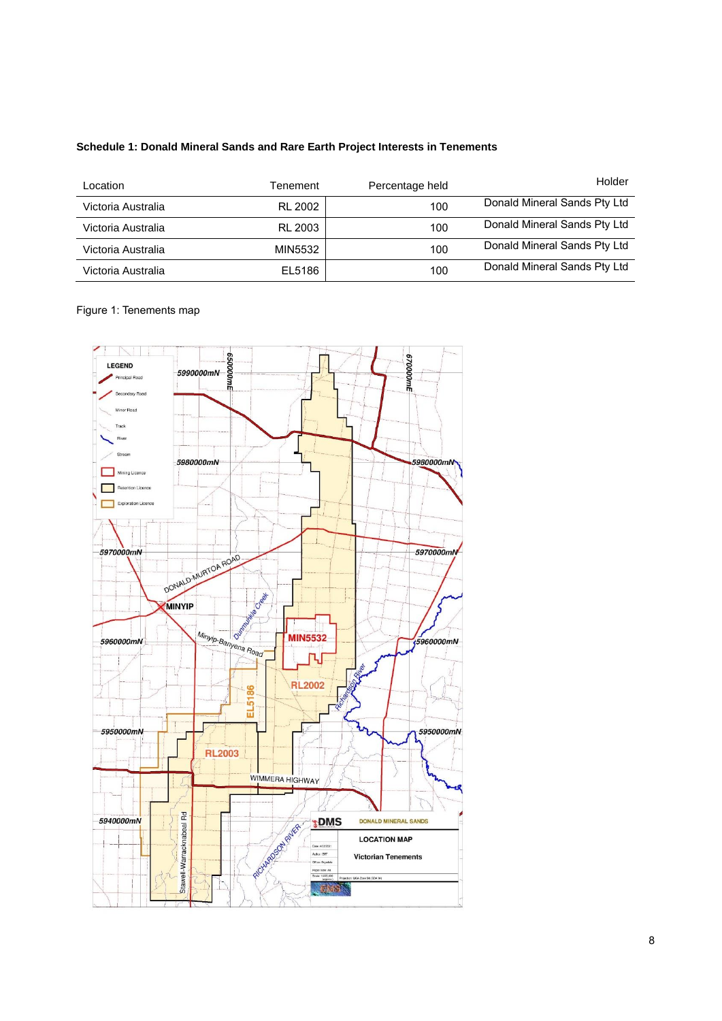## **Schedule 1: Donald Mineral Sands and Rare Earth Project Interests in Tenements**

| Location           | Tenement       | Percentage held | Holder                       |
|--------------------|----------------|-----------------|------------------------------|
| Victoria Australia | RL 2002        | 100             | Donald Mineral Sands Pty Ltd |
| Victoria Australia | <b>RL 2003</b> | 100             | Donald Mineral Sands Pty Ltd |
| Victoria Australia | MIN5532        | 100             | Donald Mineral Sands Pty Ltd |
| Victoria Australia | EL5186         | 100             | Donald Mineral Sands Pty Ltd |

## Figure 1: Tenements map

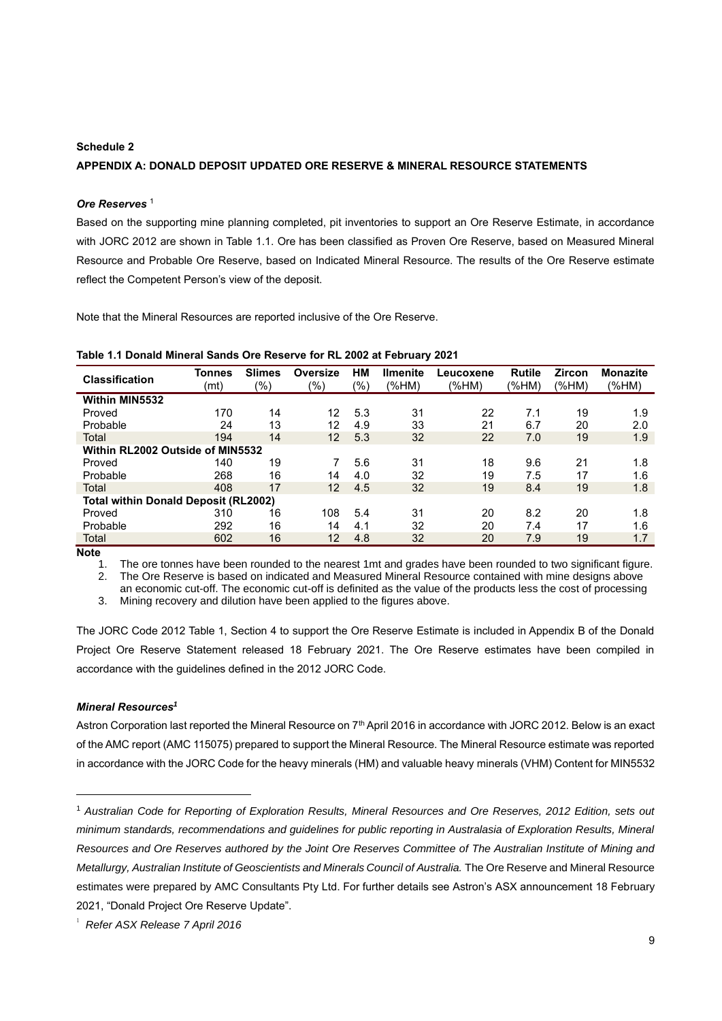## **Schedule 2**

#### **APPENDIX A: DONALD DEPOSIT UPDATED ORE RESERVE & MINERAL RESOURCE STATEMENTS**

#### *Ore Reserves* <sup>1</sup>

Based on the supporting mine planning completed, pit inventories to support an Ore Reserve Estimate, in accordance with JORC 2012 are shown in Table 1.1. Ore has been classified as Proven Ore Reserve, based on Measured Mineral Resource and Probable Ore Reserve, based on Indicated Mineral Resource. The results of the Ore Reserve estimate reflect the Competent Person's view of the deposit.

Note that the Mineral Resources are reported inclusive of the Ore Reserve.

| <b>Classification</b>                       | <b>Tonnes</b><br>(mt) | <b>Slimes</b><br>(%) | Oversize<br>(%) | НM<br>(%) | <b>Ilmenite</b><br>(%HM) | Leucoxene<br>(%HM) | <b>Rutile</b><br>(%HM) | <b>Zircon</b><br>(%HM) | <b>Monazite</b><br>(%HM) |
|---------------------------------------------|-----------------------|----------------------|-----------------|-----------|--------------------------|--------------------|------------------------|------------------------|--------------------------|
| <b>Within MIN5532</b>                       |                       |                      |                 |           |                          |                    |                        |                        |                          |
| Proved                                      | 170                   | 14                   | 12              | 5.3       | 31                       | 22                 | 7.1                    | 19                     | 1.9                      |
| Probable                                    | 24                    | 13                   | 12              | 4.9       | 33                       | 21                 | 6.7                    | 20                     | 2.0                      |
| Total                                       | 194                   | 14                   | 12 <sup>2</sup> | 5.3       | 32                       | 22                 | 7.0                    | 19                     | 1.9                      |
| Within RL2002 Outside of MIN5532            |                       |                      |                 |           |                          |                    |                        |                        |                          |
| Proved                                      | 140                   | 19                   |                 | 5.6       | 31                       | 18                 | 9.6                    | 21                     | 1.8                      |
| Probable                                    | 268                   | 16                   | 14              | 4.0       | 32                       | 19                 | 7.5                    | 17                     | 1.6                      |
| Total                                       | 408                   | 17                   | 12 <sup>1</sup> | 4.5       | 32                       | 19                 | 8.4                    | 19                     | 1.8                      |
| <b>Total within Donald Deposit (RL2002)</b> |                       |                      |                 |           |                          |                    |                        |                        |                          |
| Proved                                      | 310                   | 16                   | 108             | 5.4       | 31                       | 20                 | 8.2                    | 20                     | 1.8                      |
| Probable                                    | 292                   | 16                   | 14              | 4.1       | 32                       | 20                 | 7.4                    | 17                     | 1.6                      |
| Total                                       | 602                   | 16                   | 12 <sup>2</sup> | 4.8       | 32                       | 20                 | 7.9                    | 19                     | 1.7                      |

**Table 1.1 Donald Mineral Sands Ore Reserve for RL 2002 at February 2021**

**Note** 1.

1. The ore tonnes have been rounded to the nearest 1mt and grades have been rounded to two significant figure. 2. The Ore Reserve is based on indicated and Measured Mineral Resource contained with mine designs above an economic cut-off. The economic cut-off is definited as the value of the products less the cost of processing

3. Mining recovery and dilution have been applied to the figures above.

The JORC Code 2012 Table 1, Section 4 to support the Ore Reserve Estimate is included in Appendix B of the Donald Project Ore Reserve Statement released 18 February 2021. The Ore Reserve estimates have been compiled in accordance with the guidelines defined in the 2012 JORC Code.

#### *Mineral Resources<sup>1</sup>*

Astron Corporation last reported the Mineral Resource on 7<sup>th</sup> April 2016 in accordance with JORC 2012. Below is an exact of the AMC report (AMC 115075) prepared to support the Mineral Resource. The Mineral Resource estimate was reported in accordance with the JORC Code for the heavy minerals (HM) and valuable heavy minerals (VHM) Content for MIN5532

<sup>1</sup> *Australian Code for Reporting of Exploration Results, Mineral Resources and Ore Reserves, 2012 Edition, sets out minimum standards, recommendations and guidelines for public reporting in Australasia of Exploration Results, Mineral Resources and Ore Reserves authored by the Joint Ore Reserves Committee of The Australian Institute of Mining and Metallurgy, Australian Institute of Geoscientists and Minerals Council of Australia.* The Ore Reserve and Mineral Resource estimates were prepared by AMC Consultants Pty Ltd. For further details see Astron's ASX announcement 18 February 2021, "Donald Project Ore Reserve Update".

<sup>1</sup> *Refer ASX Release 7 April 2016*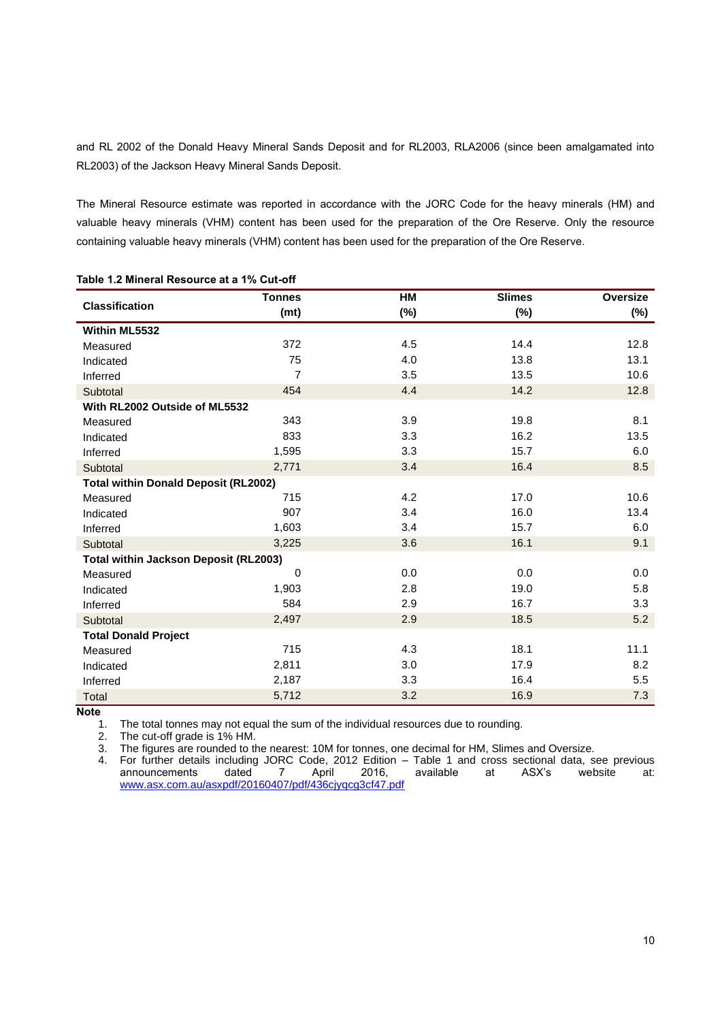and RL 2002 of the Donald Heavy Mineral Sands Deposit and for RL2003, RLA2006 (since been amalgamated into RL2003) of the Jackson Heavy Mineral Sands Deposit.

The Mineral Resource estimate was reported in accordance with the JORC Code for the heavy minerals (HM) and valuable heavy minerals (VHM) content has been used for the preparation of the Ore Reserve. Only the resource containing valuable heavy minerals (VHM) content has been used for the preparation of the Ore Reserve.

|                                              | <b>Tonnes</b>  | HM     | <b>Slimes</b> | Oversize |  |  |
|----------------------------------------------|----------------|--------|---------------|----------|--|--|
| <b>Classification</b>                        | (mt)           | $(\%)$ | $(\%)$        | $(\%)$   |  |  |
| Within ML5532                                |                |        |               |          |  |  |
| Measured                                     | 372            | 4.5    | 14.4          | 12.8     |  |  |
| Indicated                                    | 75             | 4.0    | 13.8          | 13.1     |  |  |
| Inferred                                     | $\overline{7}$ | 3.5    | 13.5          | 10.6     |  |  |
| Subtotal                                     | 454            | 4.4    | 14.2          | 12.8     |  |  |
| With RL2002 Outside of ML5532                |                |        |               |          |  |  |
| Measured                                     | 343            | 3.9    | 19.8          | 8.1      |  |  |
| Indicated                                    | 833            | 3.3    | 16.2          | 13.5     |  |  |
| Inferred                                     | 1,595          | 3.3    | 15.7          | 6.0      |  |  |
| Subtotal                                     | 2,771          | 3.4    | 16.4          | 8.5      |  |  |
| <b>Total within Donald Deposit (RL2002)</b>  |                |        |               |          |  |  |
| Measured                                     | 715            | 4.2    | 17.0          | 10.6     |  |  |
| Indicated                                    | 907            | 3.4    | 16.0          | 13.4     |  |  |
| Inferred                                     | 1,603          | 3.4    | 15.7          | 6.0      |  |  |
| Subtotal                                     | 3,225          | 3.6    | 16.1          | 9.1      |  |  |
| <b>Total within Jackson Deposit (RL2003)</b> |                |        |               |          |  |  |
| Measured                                     | $\mathbf 0$    | 0.0    | 0.0           | 0.0      |  |  |
| Indicated                                    | 1,903          | 2.8    | 19.0          | 5.8      |  |  |
| Inferred                                     | 584            | 2.9    | 16.7          | 3.3      |  |  |
| Subtotal                                     | 2,497          | 2.9    | 18.5          | 5.2      |  |  |
| <b>Total Donald Project</b>                  |                |        |               |          |  |  |
| Measured                                     | 715            | 4.3    | 18.1          | 11.1     |  |  |
| Indicated                                    | 2,811          | 3.0    | 17.9          | 8.2      |  |  |
| Inferred                                     | 2,187          | 3.3    | 16.4          | 5.5      |  |  |
| Total                                        | 5,712          | 3.2    | 16.9          | 7.3      |  |  |

**Table 1.2 Mineral Resource at a 1% Cut-off**

**Note** 

1. The total tonnes may not equal the sum of the individual resources due to rounding.<br>2. The cut-off grade is 1% HM.

2. The cut-off grade is 1% HM.<br>3. The figures are rounded to the

The figures are rounded to the nearest: 10M for tonnes, one decimal for HM, Slimes and Oversize.

4. For further details including JORC Code, 2012 Edition – Table 1 and cross sectional data, see previous announcements dated 7 April 2016, available at ASX's website at: announcements dated 7 April 2016,<br>[www.asx.com.au/asxpdf/20160407/pdf/436cjyqcg3cf47.pdf](http://www.asx.com.au/asxpdf/20160407/pdf/436cjyqcg3cf47.pdf)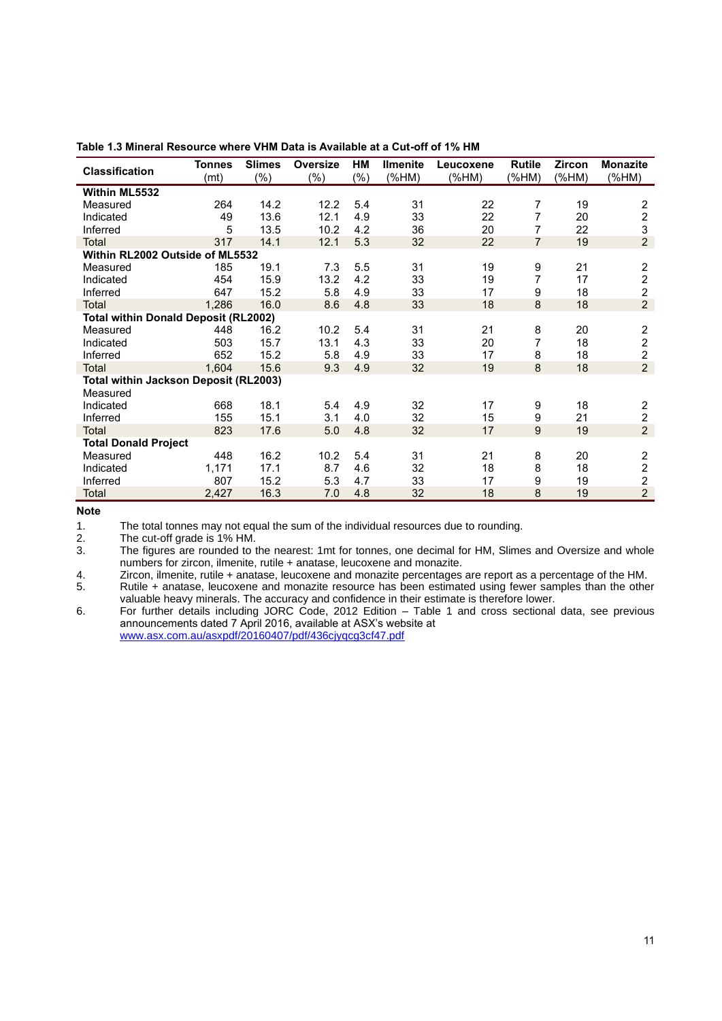| <b>Classification</b>                       | <b>Tonnes</b><br>(mt) | <b>Slimes</b><br>$(\%)$ | <b>Oversize</b><br>$(\% )$ | HМ<br>(% ) | <b>Ilmenite</b><br>(%HM) | Leucoxene<br>(%HM) | <b>Rutile</b><br>(%HM) | Zircon<br>(%M) | <b>Monazite</b><br>(%M) |
|---------------------------------------------|-----------------------|-------------------------|----------------------------|------------|--------------------------|--------------------|------------------------|----------------|-------------------------|
| Within ML5532                               |                       |                         |                            |            |                          |                    |                        |                |                         |
| Measured                                    | 264                   | 14.2                    | 12.2                       | 5.4        | 31                       | 22                 | 7                      | 19             |                         |
| Indicated                                   | 49                    | 13.6                    | 12.1                       | 4.9        | 33                       | 22                 | 7                      | 20             | $\frac{2}{2}$           |
| Inferred                                    | 5                     | 13.5                    | 10.2                       | 4.2        | 36                       | 20                 | 7                      | 22             | 3                       |
| <b>Total</b>                                | 317                   | 14.1                    | 12.1                       | 5.3        | 32                       | 22                 | $\overline{7}$         | 19             | $\overline{2}$          |
| Within RL2002 Outside of ML5532             |                       |                         |                            |            |                          |                    |                        |                |                         |
| Measured                                    | 185                   | 19.1                    | 7.3                        | 5.5        | 31                       | 19                 | 9                      | 21             | $\boldsymbol{2}$        |
| Indicated                                   | 454                   | 15.9                    | 13.2                       | 4.2        | 33                       | 19                 | 7                      | 17             | $\overline{c}$          |
| Inferred                                    | 647                   | 15.2                    | 5.8                        | 4.9        | 33                       | 17                 | 9                      | 18             | $\overline{2}$          |
| <b>Total</b>                                | 1,286                 | 16.0                    | 8.6                        | 4.8        | 33                       | 18                 | 8                      | 18             | $\overline{2}$          |
| <b>Total within Donald Deposit (RL2002)</b> |                       |                         |                            |            |                          |                    |                        |                |                         |
| Measured                                    | 448                   | 16.2                    | 10.2                       | 5.4        | 31                       | 21                 | 8                      | 20             | $\overline{\mathbf{c}}$ |
| Indicated                                   | 503                   | 15.7                    | 13.1                       | 4.3        | 33                       | 20                 | 7                      | 18             | $\overline{c}$          |
| Inferred                                    | 652                   | 15.2                    | 5.8                        | 4.9        | 33                       | 17                 | 8                      | 18             | $\overline{2}$          |
| <b>Total</b>                                | 1.604                 | 15.6                    | 9.3                        | 4.9        | 32                       | 19                 | 8                      | 18             | $\overline{2}$          |
| Total within Jackson Deposit (RL2003)       |                       |                         |                            |            |                          |                    |                        |                |                         |
| Measured                                    |                       |                         |                            |            |                          |                    |                        |                |                         |
| Indicated                                   | 668                   | 18.1                    | 5.4                        | 4.9        | 32                       | 17                 | 9                      | 18             | $\frac{2}{2}$           |
| Inferred                                    | 155                   | 15.1                    | 3.1                        | 4.0        | 32                       | 15                 | 9                      | 21             |                         |
| Total                                       | 823                   | 17.6                    | 5.0                        | 4.8        | 32                       | 17                 | 9                      | 19             | $\overline{2}$          |
| <b>Total Donald Project</b>                 |                       |                         |                            |            |                          |                    |                        |                |                         |
| Measured                                    | 448                   | 16.2                    | 10.2                       | 5.4        | 31                       | 21                 | 8                      | 20             | $\boldsymbol{2}$        |
| Indicated                                   | 1,171                 | 17.1                    | 8.7                        | 4.6        | 32                       | 18                 | 8                      | 18             | $\overline{c}$          |
| Inferred                                    | 807                   | 15.2                    | 5.3                        | 4.7        | 33                       | 17                 | 9                      | 19             | $\overline{2}$          |
| Total                                       | 2,427                 | 16.3                    | 7.0                        | 4.8        | 32                       | 18                 | 8                      | 19             | $\overline{c}$          |

**Table 1.3 Mineral Resource where VHM Data is Available at a Cut-off of 1% HM**

**Note** 

1. The total tonnes may not equal the sum of the individual resources due to rounding.<br>2. The cut-off grade is 1% HM.

2. The cut-off grade is 1% HM.<br>3. The figures are rounded to t

The figures are rounded to the nearest: 1mt for tonnes, one decimal for HM, Slimes and Oversize and whole numbers for zircon, ilmenite, rutile + anatase, leucoxene and monazite.

4. Zircon, ilmenite, rutile + anatase, leucoxene and monazite percentages are report as a percentage of the HM.<br>5. Rutile + anatase, leucoxene and monazite resource has been estimated using fewer samples than the othe Rutile + anatase, leucoxene and monazite resource has been estimated using fewer samples than the other

valuable heavy minerals. The accuracy and confidence in their estimate is therefore lower.

6. For further details including JORC Code, 2012 Edition – Table 1 and cross sectional data, see previous announcements dated 7 April 2016, available at ASX's website at

[www.asx.com.au/asxpdf/20160407/pdf/436cjyqcg3cf47.pdf](http://www.asx.com.au/asxpdf/20160407/pdf/436cjyqcg3cf47.pdf)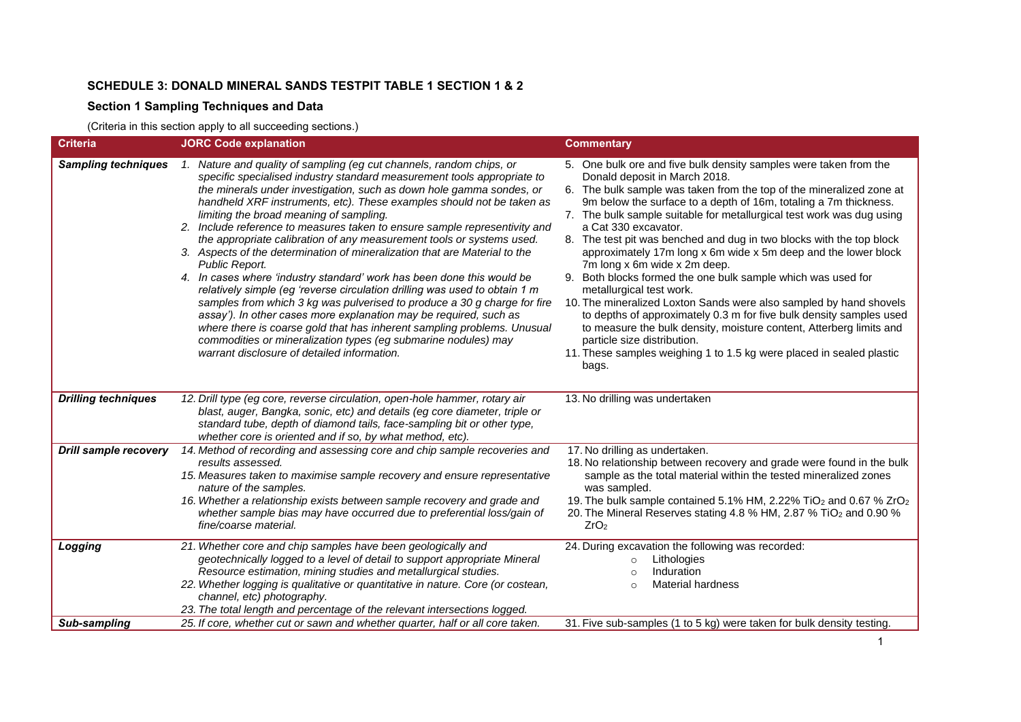# **SCHEDULE 3: DONALD MINERAL SANDS TESTPIT TABLE 1 SECTION 1 & 2**

# **Section 1 Sampling Techniques and Data**

(Criteria in this section apply to all succeeding sections.)

| <b>Criteria</b>              | <b>JORC Code explanation</b>                                                                                                                                                                                                                                                                                                                                                                                                                                                                                                                                                                                                                                                                                                                                                                                                                                                                                                                                                                                                                                                                            | <b>Commentary</b>                                                                                                                                                                                                                                                                                                                                                                                                                                                                                                                                                                                                                                                                                                                                                                                                                                                                                                                                         |
|------------------------------|---------------------------------------------------------------------------------------------------------------------------------------------------------------------------------------------------------------------------------------------------------------------------------------------------------------------------------------------------------------------------------------------------------------------------------------------------------------------------------------------------------------------------------------------------------------------------------------------------------------------------------------------------------------------------------------------------------------------------------------------------------------------------------------------------------------------------------------------------------------------------------------------------------------------------------------------------------------------------------------------------------------------------------------------------------------------------------------------------------|-----------------------------------------------------------------------------------------------------------------------------------------------------------------------------------------------------------------------------------------------------------------------------------------------------------------------------------------------------------------------------------------------------------------------------------------------------------------------------------------------------------------------------------------------------------------------------------------------------------------------------------------------------------------------------------------------------------------------------------------------------------------------------------------------------------------------------------------------------------------------------------------------------------------------------------------------------------|
| <b>Sampling techniques</b>   | 1. Nature and quality of sampling (eg cut channels, random chips, or<br>specific specialised industry standard measurement tools appropriate to<br>the minerals under investigation, such as down hole gamma sondes, or<br>handheld XRF instruments, etc). These examples should not be taken as<br>limiting the broad meaning of sampling.<br>2. Include reference to measures taken to ensure sample representivity and<br>the appropriate calibration of any measurement tools or systems used.<br>3. Aspects of the determination of mineralization that are Material to the<br>Public Report.<br>4. In cases where 'industry standard' work has been done this would be<br>relatively simple (eg 'reverse circulation drilling was used to obtain 1 m<br>samples from which 3 kg was pulverised to produce a 30 g charge for fire<br>assay'). In other cases more explanation may be required, such as<br>where there is coarse gold that has inherent sampling problems. Unusual<br>commodities or mineralization types (eg submarine nodules) may<br>warrant disclosure of detailed information. | 5. One bulk ore and five bulk density samples were taken from the<br>Donald deposit in March 2018.<br>6. The bulk sample was taken from the top of the mineralized zone at<br>9m below the surface to a depth of 16m, totaling a 7m thickness.<br>7. The bulk sample suitable for metallurgical test work was dug using<br>a Cat 330 excavator.<br>8. The test pit was benched and dug in two blocks with the top block<br>approximately 17m long x 6m wide x 5m deep and the lower block<br>7m long x 6m wide x 2m deep.<br>9. Both blocks formed the one bulk sample which was used for<br>metallurgical test work.<br>10. The mineralized Loxton Sands were also sampled by hand shovels<br>to depths of approximately 0.3 m for five bulk density samples used<br>to measure the bulk density, moisture content, Atterberg limits and<br>particle size distribution.<br>11. These samples weighing 1 to 1.5 kg were placed in sealed plastic<br>bags. |
| <b>Drilling techniques</b>   | 12. Drill type (eg core, reverse circulation, open-hole hammer, rotary air<br>blast, auger, Bangka, sonic, etc) and details (eg core diameter, triple or<br>standard tube, depth of diamond tails, face-sampling bit or other type,<br>whether core is oriented and if so, by what method, etc).                                                                                                                                                                                                                                                                                                                                                                                                                                                                                                                                                                                                                                                                                                                                                                                                        | 13. No drilling was undertaken                                                                                                                                                                                                                                                                                                                                                                                                                                                                                                                                                                                                                                                                                                                                                                                                                                                                                                                            |
| <b>Drill sample recovery</b> | 14. Method of recording and assessing core and chip sample recoveries and<br>results assessed.<br>15. Measures taken to maximise sample recovery and ensure representative<br>nature of the samples.<br>16. Whether a relationship exists between sample recovery and grade and<br>whether sample bias may have occurred due to preferential loss/gain of<br>fine/coarse material.                                                                                                                                                                                                                                                                                                                                                                                                                                                                                                                                                                                                                                                                                                                      | 17. No drilling as undertaken.<br>18. No relationship between recovery and grade were found in the bulk<br>sample as the total material within the tested mineralized zones<br>was sampled.<br>19. The bulk sample contained 5.1% HM, 2.22% TiO <sub>2</sub> and 0.67 % ZrO <sub>2</sub><br>20. The Mineral Reserves stating 4.8 % HM, 2.87 % TiO <sub>2</sub> and 0.90 %<br>ZrO <sub>2</sub>                                                                                                                                                                                                                                                                                                                                                                                                                                                                                                                                                             |
| Logging                      | 21. Whether core and chip samples have been geologically and<br>geotechnically logged to a level of detail to support appropriate Mineral<br>Resource estimation, mining studies and metallurgical studies.<br>22. Whether logging is qualitative or quantitative in nature. Core (or costean,<br>channel, etc) photography.<br>23. The total length and percentage of the relevant intersections logged.                                                                                                                                                                                                                                                                                                                                                                                                                                                                                                                                                                                                                                                                                               | 24. During excavation the following was recorded:<br>Lithologies<br>$\circ$<br>Induration<br>$\circ$<br><b>Material hardness</b><br>$\circ$                                                                                                                                                                                                                                                                                                                                                                                                                                                                                                                                                                                                                                                                                                                                                                                                               |
| Sub-sampling                 | 25. If core, whether cut or sawn and whether quarter, half or all core taken.                                                                                                                                                                                                                                                                                                                                                                                                                                                                                                                                                                                                                                                                                                                                                                                                                                                                                                                                                                                                                           | 31. Five sub-samples (1 to 5 kg) were taken for bulk density testing.                                                                                                                                                                                                                                                                                                                                                                                                                                                                                                                                                                                                                                                                                                                                                                                                                                                                                     |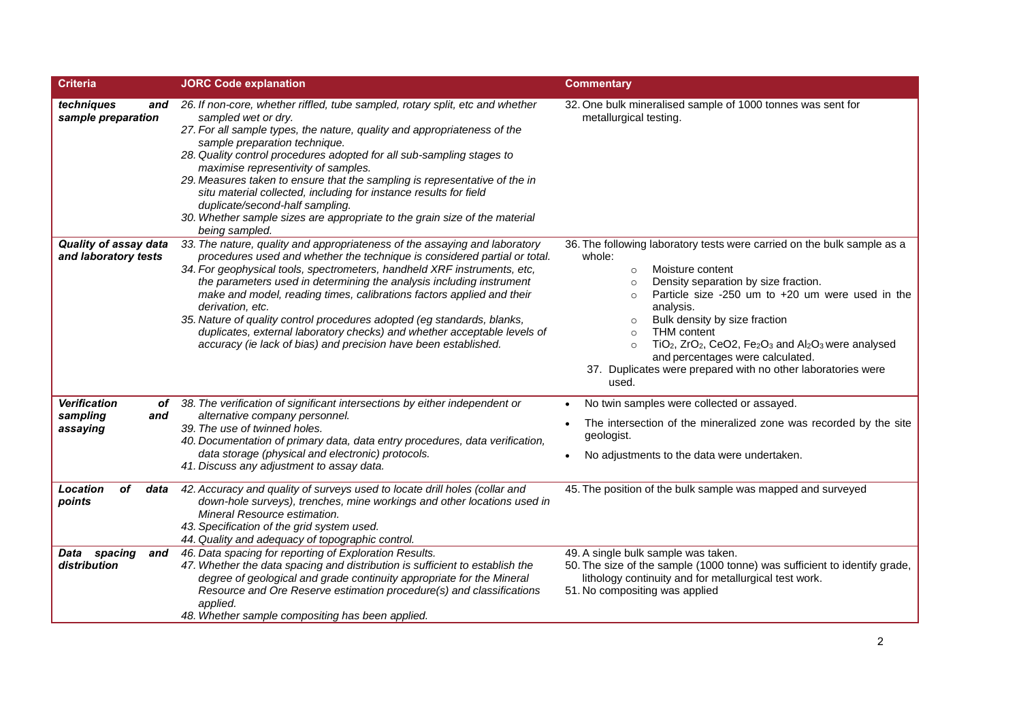| Criteria                                                  | <b>JORC Code explanation</b>                                                                                                                                                                                                                                                                                                                                                                                                                                                                                                                                                                                                       | <b>Commentary</b>                                                                                                                                                                                                                                                                                                                                                                                                                                                                                                                                                                   |
|-----------------------------------------------------------|------------------------------------------------------------------------------------------------------------------------------------------------------------------------------------------------------------------------------------------------------------------------------------------------------------------------------------------------------------------------------------------------------------------------------------------------------------------------------------------------------------------------------------------------------------------------------------------------------------------------------------|-------------------------------------------------------------------------------------------------------------------------------------------------------------------------------------------------------------------------------------------------------------------------------------------------------------------------------------------------------------------------------------------------------------------------------------------------------------------------------------------------------------------------------------------------------------------------------------|
| techniques<br>and<br>sample preparation                   | 26. If non-core, whether riffled, tube sampled, rotary split, etc and whether<br>sampled wet or dry.<br>27. For all sample types, the nature, quality and appropriateness of the<br>sample preparation technique.<br>28. Quality control procedures adopted for all sub-sampling stages to<br>maximise representivity of samples.<br>29. Measures taken to ensure that the sampling is representative of the in<br>situ material collected, including for instance results for field<br>duplicate/second-half sampling.<br>30. Whether sample sizes are appropriate to the grain size of the material<br>being sampled.            | 32. One bulk mineralised sample of 1000 tonnes was sent for<br>metallurgical testing.                                                                                                                                                                                                                                                                                                                                                                                                                                                                                               |
| Quality of assay data<br>and laboratory tests             | 33. The nature, quality and appropriateness of the assaying and laboratory<br>procedures used and whether the technique is considered partial or total.<br>34. For geophysical tools, spectrometers, handheld XRF instruments, etc,<br>the parameters used in determining the analysis including instrument<br>make and model, reading times, calibrations factors applied and their<br>derivation, etc.<br>35. Nature of quality control procedures adopted (eg standards, blanks,<br>duplicates, external laboratory checks) and whether acceptable levels of<br>accuracy (ie lack of bias) and precision have been established. | 36. The following laboratory tests were carried on the bulk sample as a<br>whole:<br>Moisture content<br>$\circ$<br>Density separation by size fraction.<br>$\circ$<br>Particle size -250 um to +20 um were used in the<br>$\circ$<br>analysis.<br>Bulk density by size fraction<br>$\circ$<br><b>THM</b> content<br>$\circ$<br>TiO <sub>2</sub> , ZrO <sub>2</sub> , CeO2, Fe <sub>2</sub> O <sub>3</sub> and Al <sub>2</sub> O <sub>3</sub> were analysed<br>$\circ$<br>and percentages were calculated.<br>37. Duplicates were prepared with no other laboratories were<br>used. |
| <b>Verification</b><br>of.<br>sampling<br>and<br>assaying | 38. The verification of significant intersections by either independent or<br>alternative company personnel.<br>39. The use of twinned holes.<br>40. Documentation of primary data, data entry procedures, data verification,<br>data storage (physical and electronic) protocols.<br>41. Discuss any adjustment to assay data.                                                                                                                                                                                                                                                                                                    | No twin samples were collected or assayed.<br>$\bullet$<br>The intersection of the mineralized zone was recorded by the site<br>geologist.<br>No adjustments to the data were undertaken.                                                                                                                                                                                                                                                                                                                                                                                           |
| Location<br>οf<br>data<br>points                          | 42. Accuracy and quality of surveys used to locate drill holes (collar and<br>down-hole surveys), trenches, mine workings and other locations used in<br>Mineral Resource estimation.<br>43. Specification of the grid system used.<br>44. Quality and adequacy of topographic control.                                                                                                                                                                                                                                                                                                                                            | 45. The position of the bulk sample was mapped and surveyed                                                                                                                                                                                                                                                                                                                                                                                                                                                                                                                         |
| Data spacing<br>and<br>distribution                       | 46. Data spacing for reporting of Exploration Results.<br>47. Whether the data spacing and distribution is sufficient to establish the<br>degree of geological and grade continuity appropriate for the Mineral<br>Resource and Ore Reserve estimation procedure(s) and classifications<br>applied.<br>48. Whether sample compositing has been applied.                                                                                                                                                                                                                                                                            | 49. A single bulk sample was taken.<br>50. The size of the sample (1000 tonne) was sufficient to identify grade,<br>lithology continuity and for metallurgical test work.<br>51. No compositing was applied                                                                                                                                                                                                                                                                                                                                                                         |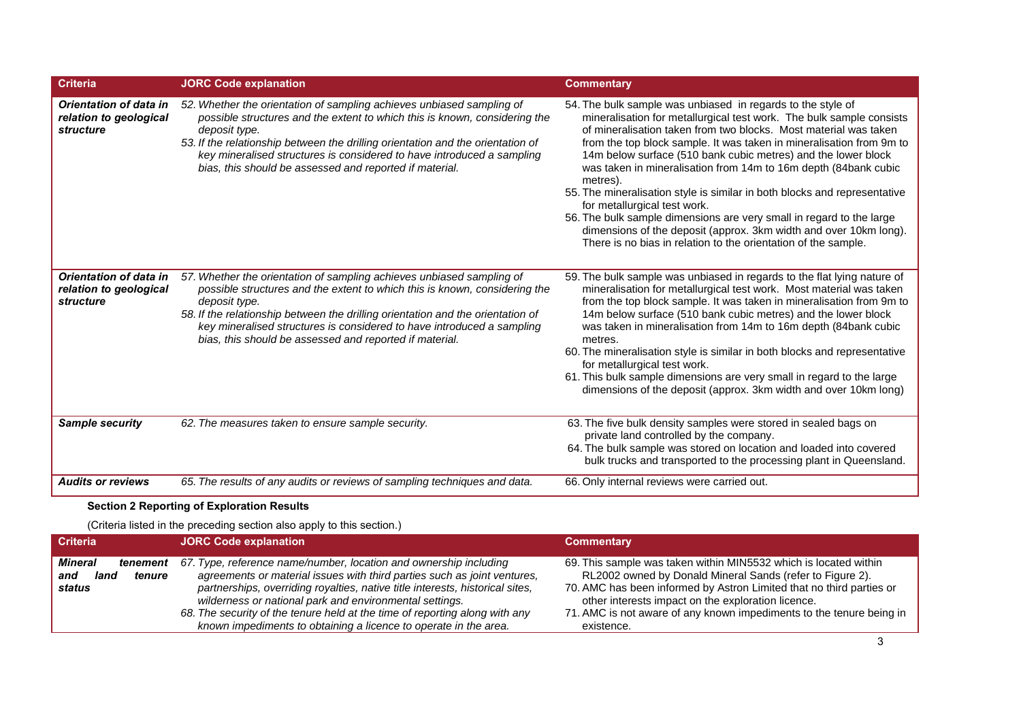| <b>Criteria</b>                                                      | <b>JORC Code explanation</b>                                                                                                                                                                                                                                                                                                                                                                 | <b>Commentary</b>                                                                                                                                                                                                                                                                                                                                                                                                                                                                                                                                                                                                                                                                                                                                           |
|----------------------------------------------------------------------|----------------------------------------------------------------------------------------------------------------------------------------------------------------------------------------------------------------------------------------------------------------------------------------------------------------------------------------------------------------------------------------------|-------------------------------------------------------------------------------------------------------------------------------------------------------------------------------------------------------------------------------------------------------------------------------------------------------------------------------------------------------------------------------------------------------------------------------------------------------------------------------------------------------------------------------------------------------------------------------------------------------------------------------------------------------------------------------------------------------------------------------------------------------------|
| <b>Orientation of data in</b><br>relation to geological<br>structure | 52. Whether the orientation of sampling achieves unbiased sampling of<br>possible structures and the extent to which this is known, considering the<br>deposit type.<br>53. If the relationship between the drilling orientation and the orientation of<br>key mineralised structures is considered to have introduced a sampling<br>bias, this should be assessed and reported if material. | 54. The bulk sample was unbiased in regards to the style of<br>mineralisation for metallurgical test work. The bulk sample consists<br>of mineralisation taken from two blocks. Most material was taken<br>from the top block sample. It was taken in mineralisation from 9m to<br>14m below surface (510 bank cubic metres) and the lower block<br>was taken in mineralisation from 14m to 16m depth (84bank cubic<br>metres).<br>55. The mineralisation style is similar in both blocks and representative<br>for metallurgical test work.<br>56. The bulk sample dimensions are very small in regard to the large<br>dimensions of the deposit (approx. 3km width and over 10km long).<br>There is no bias in relation to the orientation of the sample. |
| Orientation of data in<br>relation to geological<br>structure        | 57. Whether the orientation of sampling achieves unbiased sampling of<br>possible structures and the extent to which this is known, considering the<br>deposit type.<br>58. If the relationship between the drilling orientation and the orientation of<br>key mineralised structures is considered to have introduced a sampling<br>bias, this should be assessed and reported if material. | 59. The bulk sample was unbiased in regards to the flat lying nature of<br>mineralisation for metallurgical test work. Most material was taken<br>from the top block sample. It was taken in mineralisation from 9m to<br>14m below surface (510 bank cubic metres) and the lower block<br>was taken in mineralisation from 14m to 16m depth (84bank cubic<br>metres.<br>60. The mineralisation style is similar in both blocks and representative<br>for metallurgical test work.<br>61. This bulk sample dimensions are very small in regard to the large<br>dimensions of the deposit (approx. 3km width and over 10km long)                                                                                                                             |
| <b>Sample security</b>                                               | 62. The measures taken to ensure sample security.                                                                                                                                                                                                                                                                                                                                            | 63. The five bulk density samples were stored in sealed bags on<br>private land controlled by the company.<br>64. The bulk sample was stored on location and loaded into covered<br>bulk trucks and transported to the processing plant in Queensland.                                                                                                                                                                                                                                                                                                                                                                                                                                                                                                      |
| <b>Audits or reviews</b>                                             | 65. The results of any audits or reviews of sampling techniques and data.                                                                                                                                                                                                                                                                                                                    | 66. Only internal reviews were carried out.                                                                                                                                                                                                                                                                                                                                                                                                                                                                                                                                                                                                                                                                                                                 |

# **Section 2 Reporting of Exploration Results**

(Criteria listed in the preceding section also apply to this section.)

| <b>Criteria</b> | <b>JORC Code explanation</b>                                                  | <b>Commentary</b>                                                    |
|-----------------|-------------------------------------------------------------------------------|----------------------------------------------------------------------|
| Mineral         | 67. Type, reference name/number, location and ownership including             | 69. This sample was taken within MIN5532 which is located within     |
| tenement        | agreements or material issues with third parties such as joint ventures,      | RL2002 owned by Donald Mineral Sands (refer to Figure 2).            |
| and             | partnerships, overriding royalties, native title interests, historical sites, | 70. AMC has been informed by Astron Limited that no third parties or |
| land            | wilderness or national park and environmental settings.                       | other interests impact on the exploration licence.                   |
| tenure          | 68. The security of the tenure held at the time of reporting along with any   | 71. AMC is not aware of any known impediments to the tenure being in |
| status          | known impediments to obtaining a licence to operate in the area.              | existence.                                                           |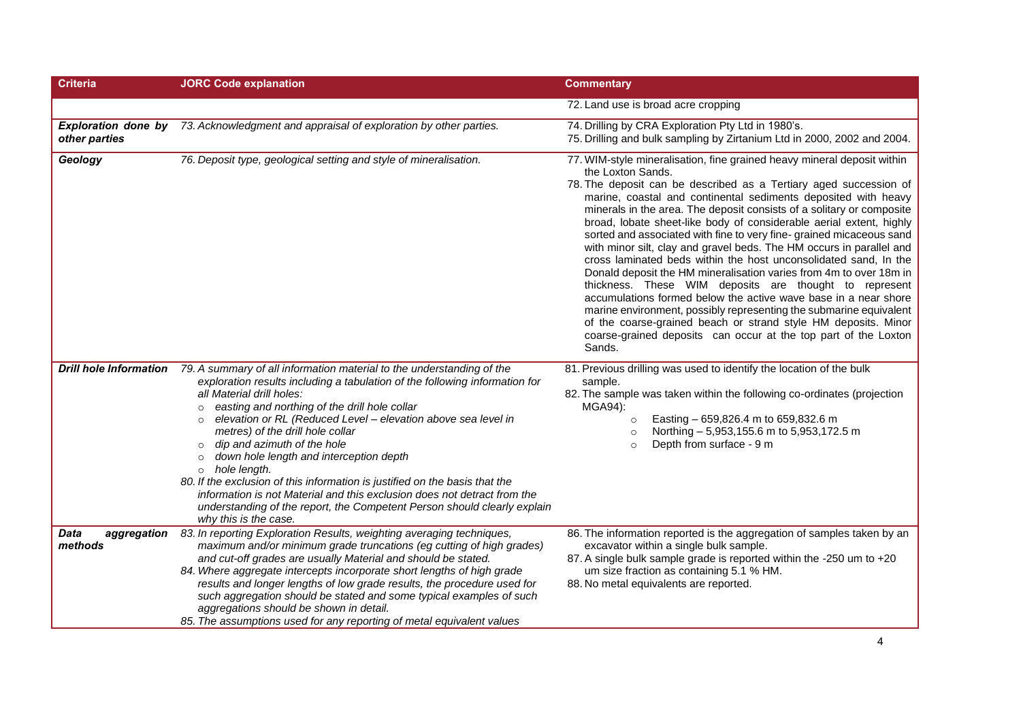| <b>Criteria</b>                       | <b>JORC Code explanation</b>                                                                                                                                                                                                                                                                                                                                                                                                                                                                                                                                                                                                                                                                                                                          | <b>Commentary</b>                                                                                                                                                                                                                                                                                                                                                                                                                                                                                                                                                                                                                                                                                                                                                                                                                                                                                                                                                                                                              |
|---------------------------------------|-------------------------------------------------------------------------------------------------------------------------------------------------------------------------------------------------------------------------------------------------------------------------------------------------------------------------------------------------------------------------------------------------------------------------------------------------------------------------------------------------------------------------------------------------------------------------------------------------------------------------------------------------------------------------------------------------------------------------------------------------------|--------------------------------------------------------------------------------------------------------------------------------------------------------------------------------------------------------------------------------------------------------------------------------------------------------------------------------------------------------------------------------------------------------------------------------------------------------------------------------------------------------------------------------------------------------------------------------------------------------------------------------------------------------------------------------------------------------------------------------------------------------------------------------------------------------------------------------------------------------------------------------------------------------------------------------------------------------------------------------------------------------------------------------|
|                                       |                                                                                                                                                                                                                                                                                                                                                                                                                                                                                                                                                                                                                                                                                                                                                       | 72. Land use is broad acre cropping                                                                                                                                                                                                                                                                                                                                                                                                                                                                                                                                                                                                                                                                                                                                                                                                                                                                                                                                                                                            |
| other parties                         | <b>Exploration done by</b> 73. Acknowledgment and appraisal of exploration by other parties.                                                                                                                                                                                                                                                                                                                                                                                                                                                                                                                                                                                                                                                          | 74. Drilling by CRA Exploration Pty Ltd in 1980's.<br>75. Drilling and bulk sampling by Zirtanium Ltd in 2000, 2002 and 2004.                                                                                                                                                                                                                                                                                                                                                                                                                                                                                                                                                                                                                                                                                                                                                                                                                                                                                                  |
| Geology                               | 76. Deposit type, geological setting and style of mineralisation.                                                                                                                                                                                                                                                                                                                                                                                                                                                                                                                                                                                                                                                                                     | 77. WIM-style mineralisation, fine grained heavy mineral deposit within<br>the Loxton Sands.<br>78. The deposit can be described as a Tertiary aged succession of<br>marine, coastal and continental sediments deposited with heavy<br>minerals in the area. The deposit consists of a solitary or composite<br>broad, lobate sheet-like body of considerable aerial extent, highly<br>sorted and associated with fine to very fine-grained micaceous sand<br>with minor silt, clay and gravel beds. The HM occurs in parallel and<br>cross laminated beds within the host unconsolidated sand, In the<br>Donald deposit the HM mineralisation varies from 4m to over 18m in<br>thickness. These WIM deposits are thought to represent<br>accumulations formed below the active wave base in a near shore<br>marine environment, possibly representing the submarine equivalent<br>of the coarse-grained beach or strand style HM deposits. Minor<br>coarse-grained deposits can occur at the top part of the Loxton<br>Sands. |
| <b>Drill hole Information</b>         | 79. A summary of all information material to the understanding of the<br>exploration results including a tabulation of the following information for<br>all Material drill holes:<br>easting and northing of the drill hole collar<br>$\circ$<br>elevation or RL (Reduced Level - elevation above sea level in<br>$\circ$<br>metres) of the drill hole collar<br>dip and azimuth of the hole<br>$\circ$<br>down hole length and interception depth<br>$\circ$<br>$\circ$ hole length.<br>80. If the exclusion of this information is justified on the basis that the<br>information is not Material and this exclusion does not detract from the<br>understanding of the report, the Competent Person should clearly explain<br>why this is the case. | 81. Previous drilling was used to identify the location of the bulk<br>sample.<br>82. The sample was taken within the following co-ordinates (projection<br>MGA94):<br>Easting - 659,826.4 m to 659,832.6 m<br>$\circ$<br>Northing - 5,953,155.6 m to 5,953,172.5 m<br>$\Omega$<br>Depth from surface - 9 m<br>$\circ$                                                                                                                                                                                                                                                                                                                                                                                                                                                                                                                                                                                                                                                                                                         |
| <b>Data</b><br>aggregation<br>methods | 83. In reporting Exploration Results, weighting averaging techniques,<br>maximum and/or minimum grade truncations (eg cutting of high grades)<br>and cut-off grades are usually Material and should be stated.<br>84. Where aggregate intercepts incorporate short lengths of high grade<br>results and longer lengths of low grade results, the procedure used for<br>such aggregation should be stated and some typical examples of such<br>aggregations should be shown in detail.<br>85. The assumptions used for any reporting of metal equivalent values                                                                                                                                                                                        | 86. The information reported is the aggregation of samples taken by an<br>excavator within a single bulk sample.<br>87. A single bulk sample grade is reported within the -250 um to +20<br>um size fraction as containing 5.1 % HM.<br>88. No metal equivalents are reported.                                                                                                                                                                                                                                                                                                                                                                                                                                                                                                                                                                                                                                                                                                                                                 |